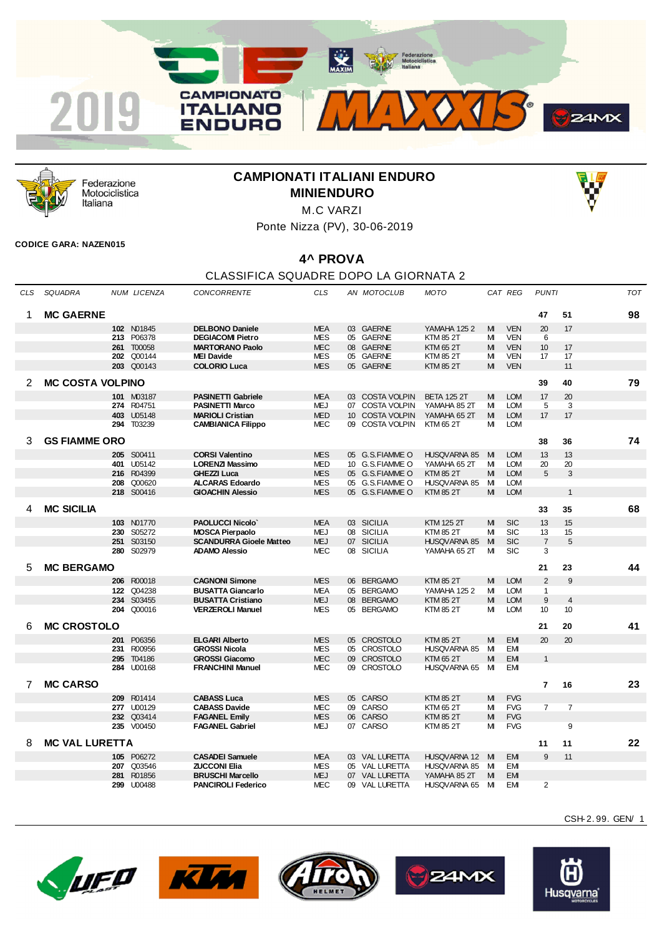



Federazione Motociclistica Italiana

## **CAMPIONATI ITALIANI ENDURO MINIENDURO**



Ponte Nizza (PV), 30-06-2019

## **CODICE GARA: NAZEN015**

## **4^ PROVA**

## CLASSIFICA SQUADRE DOPO LA GIORNATA 2

| CLS | SQUADRA                 |     | NUM LICENZA | <b>CONCORRENTE</b>             | <b>CLS</b> |    | AN MOTOCLUB     | MOTO                |   | CAT REG    | <b>PUNTI</b>     |                | <b>TOT</b> |
|-----|-------------------------|-----|-------------|--------------------------------|------------|----|-----------------|---------------------|---|------------|------------------|----------------|------------|
| 1   | <b>MC GAERNE</b>        |     |             |                                |            |    |                 |                     |   |            | 47               | 51             | 98         |
|     |                         |     | 102 N01845  | <b>DELBONO Daniele</b>         | <b>MEA</b> |    | 03 GAERNE       | <b>YAMAHA 1252</b>  | M | <b>VEN</b> | 20               | 17             |            |
|     |                         | 213 | P06378      | <b>DEGIACOMI Pietro</b>        | <b>MES</b> |    | 05 GAERNE       | <b>KTM 85 2T</b>    | M | <b>VEN</b> | 6                |                |            |
|     |                         | 261 | T00058      | <b>MARTORANO Paolo</b>         | <b>MEC</b> |    | 08 GAERNE       | <b>KTM 65 2T</b>    | M | <b>VEN</b> | 10 <sup>10</sup> | 17             |            |
|     |                         |     | 202 Q00144  | <b>MEI Davide</b>              | <b>MES</b> |    | 05 GAERNE       | <b>KTM 85 2T</b>    | м | <b>VEN</b> | 17               | 17             |            |
|     |                         |     | 203 Q00143  | <b>COLORIO Luca</b>            | <b>MES</b> |    | 05 GAERNE       | <b>KTM 85 2T</b>    | M | <b>VEN</b> |                  | 11             |            |
| 2   | <b>MC COSTA VOLPINO</b> |     |             |                                |            |    |                 |                     |   |            | 39               | 40             | 79         |
|     |                         |     |             |                                |            |    |                 |                     |   |            |                  |                |            |
|     |                         |     | 101 M03187  | <b>PASINETTI Gabriele</b>      | <b>MEA</b> |    | 03 COSTA VOLPIN | <b>BETA 125 2T</b>  | M | <b>LOM</b> | 17               | 20             |            |
|     |                         |     | 274 R04751  | <b>PASINETTI Marco</b>         | <b>MEJ</b> |    | 07 COSTA VOLPIN | YAMAHA 85 2T        | M | <b>LOM</b> | 5                | 3              |            |
|     |                         | 403 | U05148      | <b>MARIOLI Cristian</b>        | <b>MED</b> |    | 10 COSTA VOLPIN | YAMAHA 65 2T        | M | <b>LOM</b> | 17               | 17             |            |
|     |                         | 294 | T03239      | <b>CAMBIANICA Filippo</b>      | MEC        |    | 09 COSTA VOLPIN | KTM 65 2T           | м | <b>LOM</b> |                  |                |            |
| 3   | <b>GS FIAMME ORO</b>    |     |             |                                |            |    |                 |                     |   |            | 38               | 36             | 74         |
|     |                         |     | 205 S00411  | <b>CORSI Valentino</b>         | <b>MES</b> |    | 05 G.S.FIAMMEO  | <b>HUSQVARNA 85</b> | M | <b>LOM</b> | 13               | 13             |            |
|     |                         | 401 | U05142      | <b>LORENZI Massimo</b>         | <b>MED</b> |    | 10 G.S.FIAMME O | YAMAHA 652T         | М | <b>LOM</b> | 20               | 20             |            |
|     |                         | 216 | R04399      | <b>GHEZZI Luca</b>             | <b>MES</b> |    | 05 G.S.FIAMMEO  | <b>KTM 85 2T</b>    | M | <b>LOM</b> | 5                | 3              |            |
|     |                         | 208 | Q00620      | <b>ALCARAS Edoardo</b>         | MES        |    | 05 G.S.FIAMMEO  | HUSQVARNA 85        | M | <b>LOM</b> |                  |                |            |
|     |                         |     | 218 S00416  | <b>GIOACHIN Alessio</b>        | <b>MES</b> |    | 05 G.S.FIAMMEO  | <b>KTM 85 2T</b>    | M | <b>LOM</b> |                  | $\mathbf{1}$   |            |
|     |                         |     |             |                                |            |    |                 |                     |   |            |                  |                |            |
| 4   | <b>MC SICILIA</b>       |     |             |                                |            |    |                 |                     |   |            | 33               | 35             | 68         |
|     |                         | 103 | N01770      | <b>PAOLUCCI Nicolo</b>         | <b>MEA</b> |    | 03 SICILIA      | <b>KTM 125 2T</b>   | M | <b>SIC</b> | 13               | 15             |            |
|     |                         | 230 | S05272      | <b>MOSCA Pierpaolo</b>         | <b>MEJ</b> |    | 08 SICILIA      | <b>KTM 85 2T</b>    | м | <b>SIC</b> | 13               | 15             |            |
|     |                         | 251 | S03150      | <b>SCANDURRA Gioele Matteo</b> | <b>MEJ</b> |    | 07 SICILIA      | HUSQVARNA 85        | M | <b>SIC</b> | $\overline{7}$   | 5              |            |
|     |                         | 280 | S02979      | <b>ADAMO Alessio</b>           | <b>MEC</b> |    | 08 SICILIA      | YAMAHA 65 2T        | М | <b>SIC</b> | 3                |                |            |
| 5   | <b>MC BERGAMO</b>       |     |             |                                |            |    |                 |                     |   |            | 21               | 23             | 44         |
|     |                         |     | 206 R00018  | <b>CAGNONI Simone</b>          | <b>MES</b> |    | 06 BERGAMO      | <b>KTM 85 2T</b>    | M | <b>LOM</b> | 2                | 9              |            |
|     |                         | 122 | Q04238      | <b>BUSATTA Giancarlo</b>       | <b>MEA</b> |    | 05 BERGAMO      | <b>YAMAHA 1252</b>  | M | <b>LOM</b> | $\mathbf{1}$     |                |            |
|     |                         | 234 | S03455      | <b>BUSATTA Cristiano</b>       | <b>MEJ</b> |    | 08 BERGAMO      | <b>KTM 85 2T</b>    | M | <b>LOM</b> | $9\,$            | $\overline{4}$ |            |
|     |                         | 204 | Q00016      | <b>VERZEROLI Manuel</b>        | <b>MES</b> |    | 05 BERGAMO      | KTM 85 2T           | м | <b>LOM</b> | 10               | 10             |            |
|     |                         |     |             |                                |            |    |                 |                     |   |            |                  |                |            |
| 6   | <b>MC CROSTOLO</b>      |     |             |                                |            |    |                 |                     |   |            | 21               | 20             | 41         |
|     |                         | 201 | P06356      | <b>ELGARI Alberto</b>          | <b>MES</b> |    | 05 CROSTOLO     | <b>KTM 85 2T</b>    | M | <b>EM</b>  | 20               | 20             |            |
|     |                         | 231 | R00956      | <b>GROSSI Nicola</b>           | <b>MES</b> | 05 | CROSTOLO        | HUSQVARNA 85        | М | <b>EM</b>  |                  |                |            |
|     |                         | 295 | T04186      | <b>GROSSI Giacomo</b>          | <b>MEC</b> | 09 | CROSTOLO        | <b>KTM 65 2T</b>    | M | <b>EM</b>  | $\mathbf{1}$     |                |            |
|     |                         | 284 | U00168      | <b>FRANCHINI Manuel</b>        | <b>MEC</b> |    | 09 CROSTOLO     | HUSQVARNA 65        | M | <b>EM</b>  |                  |                |            |
| 7   | <b>MC CARSO</b>         |     |             |                                |            |    |                 |                     |   |            | 7                | 16             | 23         |
|     |                         | 209 | R01414      | <b>CABASS Luca</b>             | <b>MES</b> |    | 05 CARSO        | <b>KTM 85 2T</b>    | M | <b>FVG</b> |                  |                |            |
|     |                         | 277 | U00129      | <b>CABASS Davide</b>           | <b>MEC</b> |    | 09 CARSO        | KTM 65 2T           | м | <b>FVG</b> | $\overline{7}$   | $\overline{7}$ |            |
|     |                         | 232 | Q03414      | <b>FAGANEL Emily</b>           | <b>MES</b> |    | 06 CARSO        | <b>KTM 85 2T</b>    | M | <b>FVG</b> |                  |                |            |
|     |                         |     | 235 V00450  | <b>FAGANEL Gabriel</b>         | <b>MEJ</b> |    | 07 CARSO        | KTM 85 2T           | M | <b>FVG</b> |                  | 9              |            |
|     |                         |     |             |                                |            |    |                 |                     |   |            |                  |                |            |
| 8   | <b>MC VAL LURETTA</b>   |     |             |                                |            |    |                 |                     |   |            | 11               | 11             | 22         |
|     |                         |     | 105 P06272  | <b>CASADEI Samuele</b>         | <b>MEA</b> |    | 03 VAL LURETTA  | HUSQVARNA 12        | M | <b>EM</b>  | 9                | 11             |            |
|     |                         | 207 | Q03546      | <b>ZUCCONI Elia</b>            | <b>MES</b> |    | 05 VAL LURETTA  | <b>HUSQVARNA 85</b> | M | <b>EM</b>  |                  |                |            |
|     |                         | 281 | R01856      | <b>BRUSCHI Marcello</b>        | <b>MEJ</b> |    | 07 VAL LURETTA  | YAMAHA 85 2T        | M | <b>EM</b>  |                  |                |            |
|     |                         | 299 | U00488      | <b>PANCIROLI Federico</b>      | <b>MEC</b> |    | 09 VAL LURETTA  | HUSQVARNA 65        | M | <b>EM</b>  | $\overline{2}$   |                |            |

CSH-2. 99. GEN/ 1